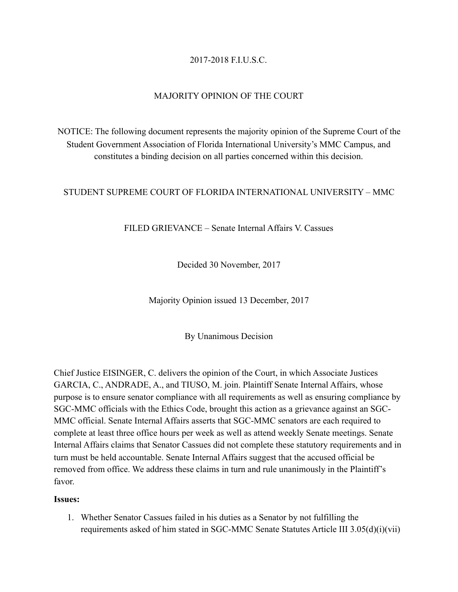# 2017-2018 F.I.U.S.C.

## MAJORITY OPINION OF THE COURT

NOTICE: The following document represents the majority opinion of the Supreme Court of the Student Government Association of Florida International University's MMC Campus, and constitutes a binding decision on all parties concerned within this decision.

### STUDENT SUPREME COURT OF FLORIDA INTERNATIONAL UNIVERSITY – MMC

FILED GRIEVANCE – Senate Internal Affairs V. Cassues

Decided 30 November, 2017

Majority Opinion issued 13 December, 2017

By Unanimous Decision

Chief Justice EISINGER, C. delivers the opinion of the Court, in which Associate Justices GARCIA, C., ANDRADE, A., and TIUSO, M. join. Plaintiff Senate Internal Affairs, whose purpose is to ensure senator compliance with all requirements as well as ensuring compliance by SGC-MMC officials with the Ethics Code, brought this action as a grievance against an SGC-MMC official. Senate Internal Affairs asserts that SGC-MMC senators are each required to complete at least three office hours per week as well as attend weekly Senate meetings. Senate Internal Affairs claims that Senator Cassues did not complete these statutory requirements and in turn must be held accountable. Senate Internal Affairs suggest that the accused official be removed from office. We address these claims in turn and rule unanimously in the Plaintiff's favor.

#### **Issues:**

1. Whether Senator Cassues failed in his duties as a Senator by not fulfilling the requirements asked of him stated in SGC-MMC Senate Statutes Article III 3.05(d)(i)(vii)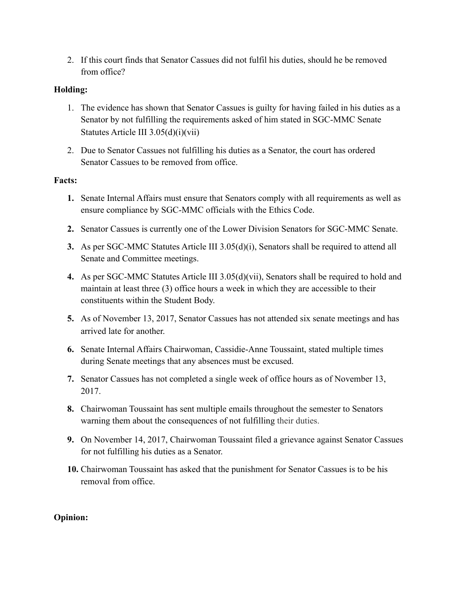2. If this court finds that Senator Cassues did not fulfil his duties, should he be removed from office?

### **Holding:**

- 1. The evidence has shown that Senator Cassues is guilty for having failed in his duties as a Senator by not fulfilling the requirements asked of him stated in SGC-MMC Senate Statutes Article III 3.05(d)(i)(vii)
- 2. Due to Senator Cassues not fulfilling his duties as a Senator, the court has ordered Senator Cassues to be removed from office.

### **Facts:**

- **1.** Senate Internal Affairs must ensure that Senators comply with all requirements as well as ensure compliance by SGC-MMC officials with the Ethics Code.
- **2.** Senator Cassues is currently one of the Lower Division Senators for SGC-MMC Senate.
- **3.** As per SGC-MMC Statutes Article III 3.05(d)(i), Senators shall be required to attend all Senate and Committee meetings.
- **4.** As per SGC-MMC Statutes Article III 3.05(d)(vii), Senators shall be required to hold and maintain at least three (3) office hours a week in which they are accessible to their constituents within the Student Body.
- **5.** As of November 13, 2017, Senator Cassues has not attended six senate meetings and has arrived late for another.
- **6.** Senate Internal Affairs Chairwoman, Cassidie-Anne Toussaint, stated multiple times during Senate meetings that any absences must be excused.
- **7.** Senator Cassues has not completed a single week of office hours as of November 13, 2017.
- **8.** Chairwoman Toussaint has sent multiple emails throughout the semester to Senators warning them about the consequences of not fulfilling their duties.
- **9.** On November 14, 2017, Chairwoman Toussaint filed a grievance against Senator Cassues for not fulfilling his duties as a Senator.
- **10.** Chairwoman Toussaint has asked that the punishment for Senator Cassues is to be his removal from office.

### **Opinion:**